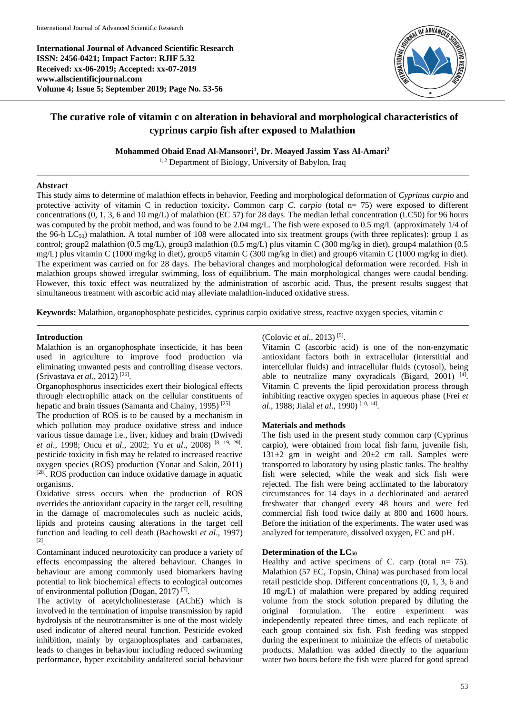**International Journal of Advanced Scientific Research ISSN: 2456-0421; Impact Factor: RJIF 5.32 Received: xx-06-2019; Accepted: xx-07-2019 www.allscientificjournal.com Volume 4; Issue 5; September 2019; Page No. 53-56**



# **The curative role of vitamin c on alteration in behavioral and morphological characteristics of cyprinus carpio fish after exposed to Malathion**

**Mohammed Obaid Enad Al-Mansoori<sup>1</sup> , Dr. Moayed Jassim Yass Al-Amari<sup>2</sup>**

<sup>1, 2</sup> Department of Biology, University of Babylon, Iraq

## **Abstract**

This study aims to determine of malathion effects in behavior, Feeding and morphological deformation of *Cyprinus carpio* and protective activity of vitamin C in reduction toxicity**.** Common carp *C. carpio* (total n= 75) were exposed to different concentrations (0, 1, 3, 6 and 10 mg/L) of malathion (EC 57) for 28 days. The median lethal concentration (LC50) for 96 hours was computed by the probit method, and was found to be 2.04 mg/L. The fish were exposed to 0.5 mg/L (approximately 1/4 of the 96-h  $LC_{50}$ ) malathion. A total number of 108 were allocated into six treatment groups (with three replicates): group 1 as control; group2 malathion (0.5 mg/L), group3 malathion (0.5 mg/L) plus vitamin C (300 mg/kg in diet), group4 malathion (0.5 mg/L) plus vitamin C (1000 mg/kg in diet), group5 vitamin C (300 mg/kg in diet) and group6 vitamin C (1000 mg/kg in diet). The experiment was carried on for 28 days. The behavioral changes and morphological deformation were recorded. Fish in malathion groups showed irregular swimming, loss of equilibrium. The main morphological changes were caudal bending. However, this toxic effect was neutralized by the administration of ascorbic acid. Thus, the present results suggest that simultaneous treatment with ascorbic acid may alleviate malathion-induced oxidative stress.

**Keywords:** Malathion, organophosphate pesticides, cyprinus carpio oxidative stress, reactive oxygen species, vitamin c

## **Introduction**

Malathion is an organophosphate insecticide, it has been used in agriculture to improve food production via eliminating unwanted pests and controlling disease vectors. (Srivastava *et al*., 2012) [26] .

Organophosphorus insecticides exert their biological effects through electrophilic attack on the cellular constituents of hepatic and brain tissues (Samanta and Chainy, 1995)<sup>[25]</sup>

The production of ROS is to be caused by a mechanism in which pollution may produce oxidative stress and induce various tissue damage i.e., liver, kidney and brain (Dwivedi *et al*., 1998; Oncu *et al*., 2002; Yu *et al*., 2008) [8, 19, 29] . pesticide toxicity in fish may be related to increased reactive oxygen species (ROS) production (Yonar and Sakin, 2011) [28]. ROS production can induce oxidative damage in aquatic organisms.

Oxidative stress occurs when the production of ROS overrides the antioxidant capacity in the target cell, resulting in the damage of macromolecules such as nucleic acids, lipids and proteins causing alterations in the target cell function and leading to cell death (Bachowski *et al*., 1997) [2] .

Contaminant induced neurotoxicity can produce a variety of effects encompassing the altered behaviour. Changes in behaviour are among commonly used biomarkers having potential to link biochemical effects to ecological outcomes of environmental pollution (Dogan, 2017)<sup>[7]</sup>.

The activity of acetylcholinesterase (AChE) which is involved in the termination of impulse transmission by rapid hydrolysis of the neurotransmitter is one of the most widely used indicator of altered neural function. Pesticide evoked inhibition, mainly by organophosphates and carbamates, leads to changes in behaviour including reduced swimming performance, hyper excitability andaltered social behaviour

# (Colovic *et al*., 2013) [5] .

Vitamin C (ascorbic acid) is one of the non-enzymatic antioxidant factors both in extracellular (interstitial and intercellular fluids) and intracellular fluids (cytosol), being able to neutralize many oxyradicals (Bigard, 2001)<sup>[4]</sup>. Vitamin C prevents the lipid peroxidation process through inhibiting reactive oxygen species in aqueous phase (Frei *et al.*, 1988; Jialal *et al.*, 1990)<sup>[10, 14]</sup>.

# **Materials and methods**

The fish used in the present study common carp (Cyprinus carpio), were obtained from local fish farm, juvenile fish,  $131\pm2$  gm in weight and  $20\pm2$  cm tall. Samples were transported to laboratory by using plastic tanks. The healthy fish were selected, while the weak and sick fish were rejected. The fish were being acclimated to the laboratory circumstances for 14 days in a dechlorinated and aerated freshwater that changed every 48 hours and were fed commercial fish food twice daily at 800 and 1600 hours. Before the initiation of the experiments. The water used was analyzed for temperature, dissolved oxygen, EC and pH.

# **Determination of the LC<sup>50</sup>**

Healthy and active specimens of C. carp (total  $n = 75$ ). Malathion (57 EC, Topsin, China) was purchased from local retail pesticide shop. Different concentrations (0, 1, 3, 6 and 10 mg/L) of malathion were prepared by adding required volume from the stock solution prepared by diluting the original formulation. The entire experiment was independently repeated three times, and each replicate of each group contained six fish. Fish feeding was stopped during the experiment to minimize the effects of metabolic products. Malathion was added directly to the aquarium water two hours before the fish were placed for good spread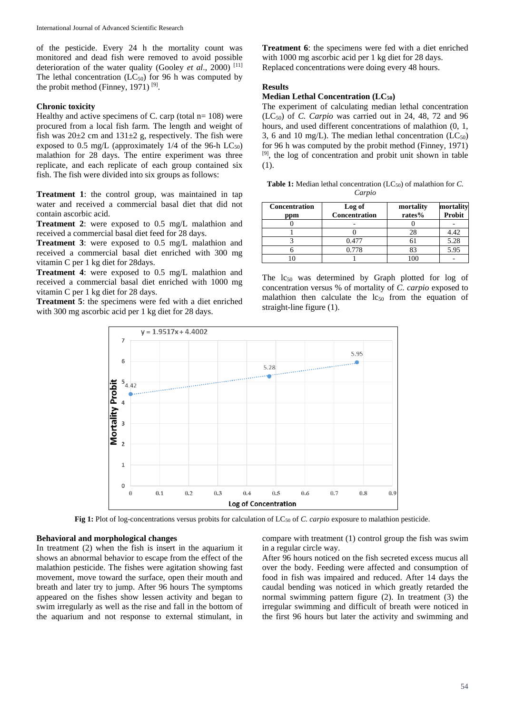of the pesticide. Every 24 h the mortality count was monitored and dead fish were removed to avoid possible deterioration of the water quality (Gooley *et al*., 2000) [11] The lethal concentration  $(LC_{50})$  for 96 h was computed by the probit method (Finney, 1971)  $[9]$ .

# **Chronic toxicity**

Healthy and active specimens of C. carp (total  $n=108$ ) were procured from a local fish farm. The length and weight of fish was  $20\pm 2$  cm and  $131\pm 2$  g, respectively. The fish were exposed to 0.5 mg/L (approximately  $1/4$  of the 96-h LC<sub>50</sub>) malathion for 28 days. The entire experiment was three replicate, and each replicate of each group contained six fish. The fish were divided into six groups as follows:

**Treatment 1**: the control group, was maintained in tap water and received a commercial basal diet that did not contain ascorbic acid.

**Treatment 2**: were exposed to 0.5 mg/L malathion and received a commercial basal diet feed for 28 days.

**Treatment 3**: were exposed to 0.5 mg/L malathion and received a commercial basal diet enriched with 300 mg vitamin C per 1 kg diet for 28days.

**Treatment 4**: were exposed to 0.5 mg/L malathion and received a commercial basal diet enriched with 1000 mg vitamin C per 1 kg diet for 28 days.

**Treatment 5**: the specimens were fed with a diet enriched with 300 mg ascorbic acid per 1 kg diet for 28 days.

**Treatment 6**: the specimens were fed with a diet enriched with 1000 mg ascorbic acid per 1 kg diet for 28 days. Replaced concentrations were doing every 48 hours.

#### **Results**

# **Median Lethal Concentration (LC50)**

The experiment of calculating median lethal concentration (LC50) of *C. Carpio* was carried out in 24, 48, 72 and 96 hours, and used different concentrations of malathion (0, 1, 3, 6 and 10 mg/L). The median lethal concentration  $(LC_{50})$ for 96 h was computed by the probit method (Finney, 1971)  $[9]$ , the log of concentration and probit unit shown in table (1).

|        | <b>Table 1:</b> Median lethal concentration $(LC_{50})$ of malathion for C. |
|--------|-----------------------------------------------------------------------------|
| Carpio |                                                                             |

| <b>Concentration</b><br>ppm | Log of<br>Concentration | mortality<br>rates% | mortality<br>Probit |
|-----------------------------|-------------------------|---------------------|---------------------|
|                             |                         |                     |                     |
|                             |                         | 28                  | 4.42                |
|                             | 0.477                   |                     | 5.28                |
|                             | 0.778                   | 83                  | 5.95                |
|                             |                         |                     |                     |

The  $\log_0$  was determined by Graph plotted for log of concentration versus % of mortality of *C. carpio* exposed to malathion then calculate the  $\log_{50}$  from the equation of straight-line figure (1).



Fig 1: Plot of log-concentrations versus probits for calculation of LC<sub>50</sub> of *C. carpio* exposure to malathion pesticide.

#### **Behavioral and morphological changes**

In treatment (2) when the fish is insert in the aquarium it shows an abnormal behavior to escape from the effect of the malathion pesticide. The fishes were agitation showing fast movement, move toward the surface, open their mouth and breath and later try to jump. After 96 hours The symptoms appeared on the fishes show lessen activity and began to swim irregularly as well as the rise and fall in the bottom of the aquarium and not response to external stimulant, in

compare with treatment (1) control group the fish was swim in a regular circle way.

After 96 hours noticed on the fish secreted excess mucus all over the body. Feeding were affected and consumption of food in fish was impaired and reduced. After 14 days the caudal bending was noticed in which greatly retarded the normal swimming pattern figure (2). In treatment (3) the irregular swimming and difficult of breath were noticed in the first 96 hours but later the activity and swimming and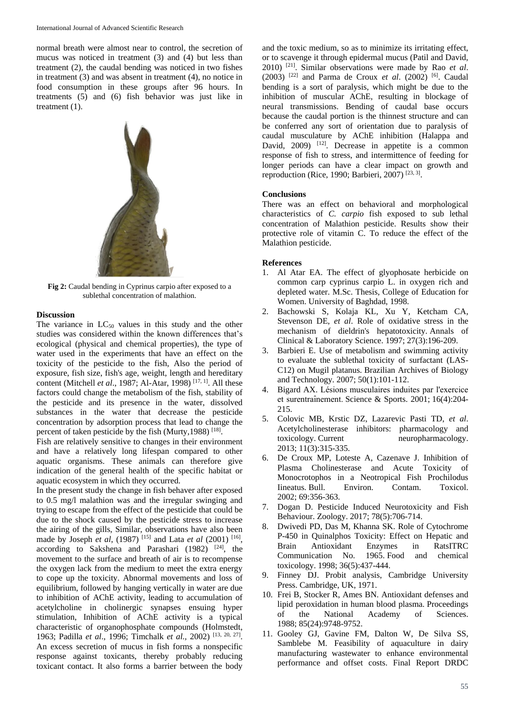normal breath were almost near to control, the secretion of mucus was noticed in treatment (3) and (4) but less than treatment (2), the caudal bending was noticed in two fishes in treatment (3) and was absent in treatment (4), no notice in food consumption in these groups after 96 hours. In treatments (5) and (6) fish behavior was just like in treatment (1).



**Fig 2:** Caudal bending in Cyprinus carpio after exposed to a sublethal concentration of malathion.

## **Discussion**

The variance in  $LC_{50}$  values in this study and the other studies was considered within the known differences that's ecological (physical and chemical properties), the type of water used in the experiments that have an effect on the toxicity of the pesticide to the fish, Also the period of exposure, fish size, fish's age, weight, length and hereditary content (Mitchell *et al.*, 1987; Al-Atar, 1998)<sup>[17, 1]</sup>. All these factors could change the metabolism of the fish, stability of the pesticide and its presence in the water, dissolved substances in the water that decrease the pesticide concentration by adsorption process that lead to change the percent of taken pesticide by the fish (Murty, 1988)<sup>[18]</sup>.

Fish are relatively sensitive to changes in their environment and have a relatively long lifespan compared to other aquatic organisms. These animals can therefore give indication of the general health of the specific habitat or aquatic ecosystem in which they occurred.

In the present study the change in fish behaver after exposed to 0.5 mg/l malathion was and the irregular swinging and trying to escape from the effect of the pesticide that could be due to the shock caused by the pesticide stress to increase the airing of the gills, Similar, observations have also been made by Joseph *et al*, (1987)<sup>[15]</sup> and Lata *et al* (2001)<sup>[16]</sup>, according to Sakshena and Parashari (1982)  $[24]$ , the movement to the surface and breath of air is to recompense the oxygen lack from the medium to meet the extra energy to cope up the toxicity. Abnormal movements and loss of equilibrium, followed by hanging vertically in water are due to inhibition of AChE activity, leading to accumulation of acetylcholine in cholinergic synapses ensuing hyper stimulation, Inhibition of AChE activity is a typical characteristic of organophosphate compounds (Holmstedt, 1963; Padilla *et al*., 1996; Timchalk *et al.,* 2002) [13, 20, 27] . An excess secretion of mucus in fish forms a nonspecific response against toxicants, thereby probably reducing toxicant contact. It also forms a barrier between the body

and the toxic medium, so as to minimize its irritating effect, or to scavenge it through epidermal mucus (Patil and David, 2010) [21]. Similar observations were made by Rao *et al*. (2003) [22] and Parma de Croux *et al*. (2002) [6] . Caudal bending is a sort of paralysis, which might be due to the inhibition of muscular AChE, resulting in blockage of neural transmissions. Bending of caudal base occurs because the caudal portion is the thinnest structure and can be conferred any sort of orientation due to paralysis of caudal musculature by AChE inhibition (Halappa and David, 2009) <sup>[12]</sup>. Decrease in appetite is a common response of fish to stress, and intermittence of feeding for longer periods can have a clear impact on growth and reproduction (Rice, 1990; Barbieri, 2007)<sup>[23, 3]</sup>.

## **Conclusions**

There was an effect on behavioral and morphological characteristics of *C. carpio* fish exposed to sub lethal concentration of Malathion pesticide. Results show their protective role of vitamin C. To reduce the effect of the Malathion pesticide.

## **References**

- 1. Al Atar EA. The effect of glyophosate herbicide on common carp cyprinus carpio L. in oxygen rich and depleted water. M.Sc. Thesis, College of Education for Women. University of Baghdad, 1998.
- 2. Bachowski S, Kolaja KL, Xu Y, Ketcham CA, Stevenson DE, *et al*. Role of oxidative stress in the mechanism of dieldrin's hepatotoxicity. Annals of Clinical & Laboratory Science. 1997; 27(3):196-209.
- 3. Barbieri E. Use of metabolism and swimming activity to evaluate the sublethal toxicity of surfactant (LAS-C12) on Mugil platanus. Brazilian Archives of Biology and Technology. 2007; 50(1):101-112.
- 4. Bigard AX. Lésions musculaires induites par l'exercice et surentraı̂nement. Science & Sports. 2001; 16(4):204- 215.
- 5. Colovic MB, Krstic DZ, Lazarevic Pasti TD, *et al*. Acetylcholinesterase inhibitors: pharmacology and toxicology. Current neuropharmacology. 2013; 11(3):315-335.
- 6. De Croux MP, Loteste A, Cazenave J. Inhibition of Plasma Cholinesterase and Acute Toxicity of Monocrotophos in a Neotropical Fish Prochilodus Iineatus. Bull. Environ. Contam. Toxicol. 2002; 69:356-363.
- 7. Dogan D. Pesticide Induced Neurotoxicity and Fish Behaviour. Zoology. 2017; 78(5):706-714.
- 8. Dwivedi PD, Das M, Khanna SK. Role of Cytochrome P-450 in Quinalphos Toxicity: Effect on Hepatic and Brain Antioxidant Enzymes in RatsITRC Communication No. 1965. Food and chemical toxicology. 1998; 36(5):437-444.
- 9. Finney DJ. Probit analysis, Cambridge University Press. Cambridge, UK, 1971.
- 10. Frei B, Stocker R, Ames BN. Antioxidant defenses and lipid peroxidation in human blood plasma. Proceedings of the National Academy of Sciences. 1988; 85(24):9748-9752.
- 11. Gooley GJ, Gavine FM, Dalton W, De Silva SS, Samblebe M. Feasibility of aquaculture in dairy manufacturing wastewater to enhance environmental performance and offset costs. Final Report DRDC